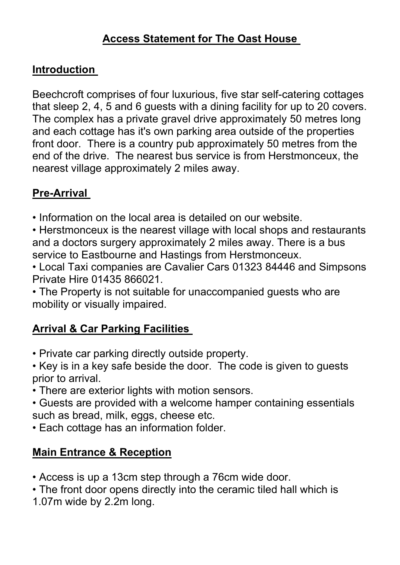### **Access Statement for The Oast House**

#### **Introduction**

Beechcroft comprises of four luxurious, five star self-catering cottages that sleep 2, 4, 5 and 6 guests with a dining facility for up to 20 covers. The complex has a private gravel drive approximately 50 metres long and each cottage has it's own parking area outside of the properties front door. There is a country pub approximately 50 metres from the end of the drive. The nearest bus service is from Herstmonceux, the nearest village approximately 2 miles away.

### **Pre-Arrival**

• Information on the local area is detailed on our website.

• Herstmonceux is the nearest village with local shops and restaurants and a doctors surgery approximately 2 miles away. There is a bus service to Eastbourne and Hastings from Herstmonceux.

• Local Taxi companies are Cavalier Cars 01323 84446 and Simpsons Private Hire 01435 866021.

• The Property is not suitable for unaccompanied guests who are mobility or visually impaired.

#### **Arrival & Car Parking Facilities**

- Private car parking directly outside property.
- Key is in a key safe beside the door. The code is given to guests prior to arrival.
- There are exterior lights with motion sensors.
- Guests are provided with a welcome hamper containing essentials such as bread, milk, eggs, cheese etc.
- Each cottage has an information folder.

#### **Main Entrance & Reception**

- Access is up a 13cm step through a 76cm wide door.
- The front door opens directly into the ceramic tiled hall which is
- 1.07m wide by 2.2m long.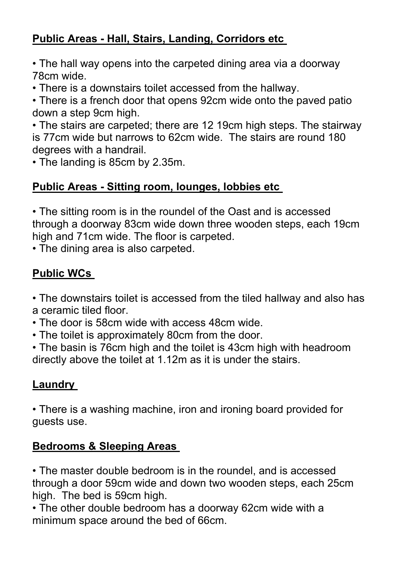# **Public Areas - Hall, Stairs, Landing, Corridors etc**

• The hall way opens into the carpeted dining area via a doorway 78cm wide.

• There is a downstairs toilet accessed from the hallway.

• There is a french door that opens 92cm wide onto the paved patio down a step 9cm high.

• The stairs are carpeted; there are 12 19cm high steps. The stairway is 77cm wide but narrows to 62cm wide. The stairs are round 180 degrees with a handrail.

• The landing is 85cm by 2.35m.

## **Public Areas - Sitting room, lounges, lobbies etc**

• The sitting room is in the roundel of the Oast and is accessed through a doorway 83cm wide down three wooden steps, each 19cm high and 71cm wide. The floor is carpeted.

• The dining area is also carpeted.

# **Public WCs**

• The downstairs toilet is accessed from the tiled hallway and also has a ceramic tiled floor.

• The door is 58cm wide with access 48cm wide.

• The toilet is approximately 80cm from the door.

• The basin is 76cm high and the toilet is 43cm high with headroom directly above the toilet at 1.12m as it is under the stairs.

## **Laundry**

• There is a washing machine, iron and ironing board provided for guests use.

## **Bedrooms & Sleeping Areas**

• The master double bedroom is in the roundel, and is accessed through a door 59cm wide and down two wooden steps, each 25cm high. The bed is 59cm high.

• The other double bedroom has a doorway 62cm wide with a minimum space around the bed of 66cm.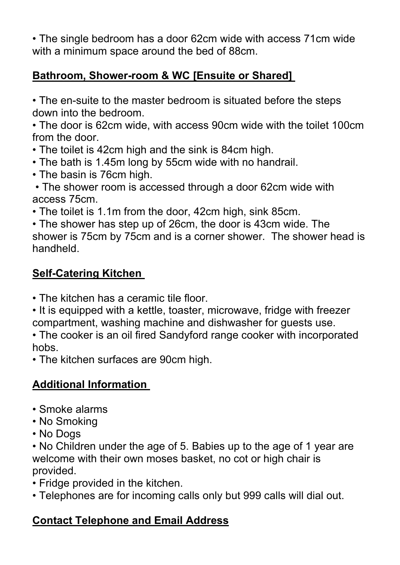• The single bedroom has a door 62cm wide with access 71cm wide with a minimum space around the bed of 88cm.

#### **Bathroom, Shower-room & WC [Ensuite or Shared]**

• The en-suite to the master bedroom is situated before the steps down into the bedroom.

• The door is 62cm wide, with access 90cm wide with the toilet 100cm from the door.

• The toilet is 42cm high and the sink is 84cm high.

- The bath is 1.45m long by 55cm wide with no handrail.
- The basin is 76cm high.

• The shower room is accessed through a door 62cm wide with access 75cm.

• The toilet is 1.1m from the door, 42cm high, sink 85cm.

• The shower has step up of 26cm, the door is 43cm wide. The shower is 75cm by 75cm and is a corner shower. The shower head is handheld.

### **Self-Catering Kitchen**

• The kitchen has a ceramic tile floor.

• It is equipped with a kettle, toaster, microwave, fridge with freezer compartment, washing machine and dishwasher for guests use.

• The cooker is an oil fired Sandyford range cooker with incorporated hobs.

• The kitchen surfaces are 90cm high.

## **Additional Information**

- Smoke alarms
- No Smoking
- No Dogs

• No Children under the age of 5. Babies up to the age of 1 year are welcome with their own moses basket, no cot or high chair is provided.

- Fridge provided in the kitchen.
- Telephones are for incoming calls only but 999 calls will dial out.

# **Contact Telephone and Email Address**